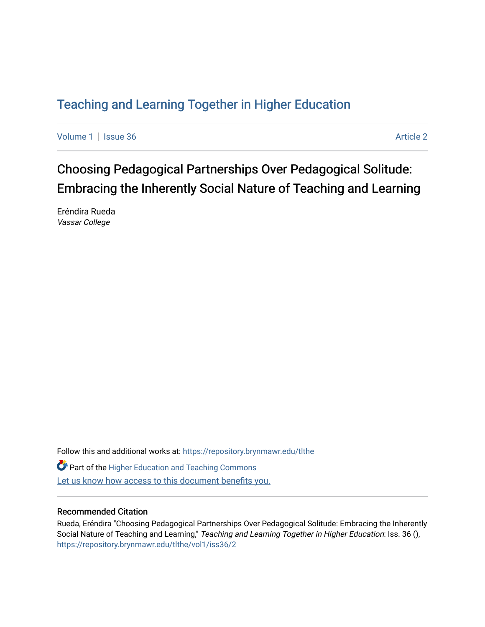# [Teaching and Learning Together in Higher Education](https://repository.brynmawr.edu/tlthe)

[Volume 1](https://repository.brynmawr.edu/tlthe/vol1) | [Issue 36](https://repository.brynmawr.edu/tlthe/vol1/iss36) Article 2

Choosing Pedagogical Partnerships Over Pedagogical Solitude: Embracing the Inherently Social Nature of Teaching and Learning

Eréndira Rueda Vassar College

Follow this and additional works at: [https://repository.brynmawr.edu/tlthe](https://repository.brynmawr.edu/tlthe?utm_source=repository.brynmawr.edu%2Ftlthe%2Fvol1%2Fiss36%2F2&utm_medium=PDF&utm_campaign=PDFCoverPages)  **Part of the Higher Education and Teaching Commons** Let us know how access to this document benefits you.

#### Recommended Citation

Rueda, Eréndira "Choosing Pedagogical Partnerships Over Pedagogical Solitude: Embracing the Inherently Social Nature of Teaching and Learning," Teaching and Learning Together in Higher Education: Iss. 36 (), [https://repository.brynmawr.edu/tlthe/vol1/iss36/2](https://repository.brynmawr.edu/tlthe/vol1/iss36/2?utm_source=repository.brynmawr.edu%2Ftlthe%2Fvol1%2Fiss36%2F2&utm_medium=PDF&utm_campaign=PDFCoverPages)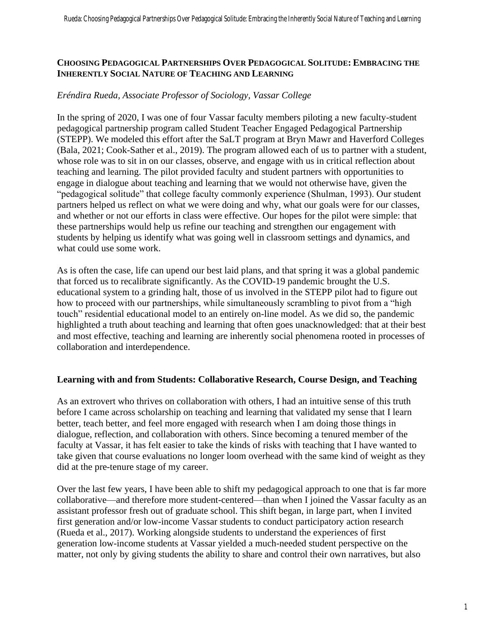#### **CHOOSING PEDAGOGICAL PARTNERSHIPS OVER PEDAGOGICAL SOLITUDE: EMBRACING THE INHERENTLY SOCIAL NATURE OF TEACHING AND LEARNING**

#### *Eréndira Rueda, Associate Professor of Sociology, Vassar College*

In the spring of 2020, I was one of four Vassar faculty members piloting a new faculty-student pedagogical partnership program called Student Teacher Engaged Pedagogical Partnership (STEPP). We modeled this effort after the SaLT program at Bryn Mawr and Haverford Colleges (Bala, 2021; Cook-Sather et al., 2019). The program allowed each of us to partner with a student, whose role was to sit in on our classes, observe, and engage with us in critical reflection about teaching and learning. The pilot provided faculty and student partners with opportunities to engage in dialogue about teaching and learning that we would not otherwise have, given the "pedagogical solitude" that college faculty commonly experience (Shulman, 1993). Our student partners helped us reflect on what we were doing and why, what our goals were for our classes, and whether or not our efforts in class were effective. Our hopes for the pilot were simple: that these partnerships would help us refine our teaching and strengthen our engagement with students by helping us identify what was going well in classroom settings and dynamics, and what could use some work.

As is often the case, life can upend our best laid plans, and that spring it was a global pandemic that forced us to recalibrate significantly. As the COVID-19 pandemic brought the U.S. educational system to a grinding halt, those of us involved in the STEPP pilot had to figure out how to proceed with our partnerships, while simultaneously scrambling to pivot from a "high touch" residential educational model to an entirely on-line model. As we did so, the pandemic highlighted a truth about teaching and learning that often goes unacknowledged: that at their best and most effective, teaching and learning are inherently social phenomena rooted in processes of collaboration and interdependence.

#### **Learning with and from Students: Collaborative Research, Course Design, and Teaching**

As an extrovert who thrives on collaboration with others, I had an intuitive sense of this truth before I came across scholarship on teaching and learning that validated my sense that I learn better, teach better, and feel more engaged with research when I am doing those things in dialogue, reflection, and collaboration with others. Since becoming a tenured member of the faculty at Vassar, it has felt easier to take the kinds of risks with teaching that I have wanted to take given that course evaluations no longer loom overhead with the same kind of weight as they did at the pre-tenure stage of my career.

Over the last few years, I have been able to shift my pedagogical approach to one that is far more collaborative—and therefore more student-centered—than when I joined the Vassar faculty as an assistant professor fresh out of graduate school. This shift began, in large part, when I invited first generation and/or low-income Vassar students to conduct participatory action research (Rueda et al., 2017). Working alongside students to understand the experiences of first generation low-income students at Vassar yielded a much-needed student perspective on the matter, not only by giving students the ability to share and control their own narratives, but also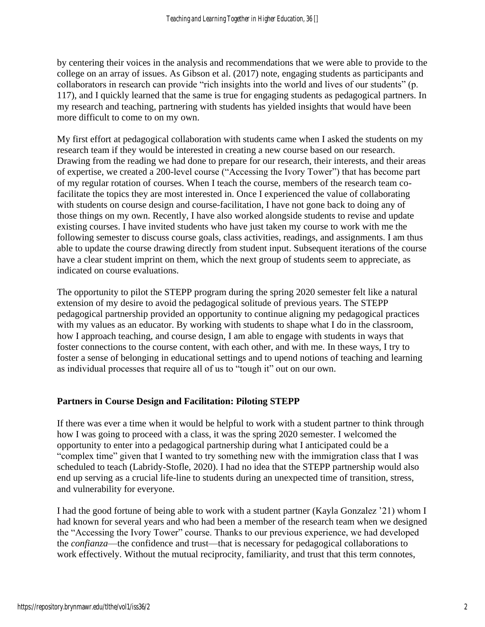by centering their voices in the analysis and recommendations that we were able to provide to the college on an array of issues. As Gibson et al. (2017) note, engaging students as participants and collaborators in research can provide "rich insights into the world and lives of our students" (p. 117), and I quickly learned that the same is true for engaging students as pedagogical partners. In my research and teaching, partnering with students has yielded insights that would have been more difficult to come to on my own.

My first effort at pedagogical collaboration with students came when I asked the students on my research team if they would be interested in creating a new course based on our research. Drawing from the reading we had done to prepare for our research, their interests, and their areas of expertise, we created a 200-level course ("Accessing the Ivory Tower") that has become part of my regular rotation of courses. When I teach the course, members of the research team cofacilitate the topics they are most interested in. Once I experienced the value of collaborating with students on course design and course-facilitation, I have not gone back to doing any of those things on my own. Recently, I have also worked alongside students to revise and update existing courses. I have invited students who have just taken my course to work with me the following semester to discuss course goals, class activities, readings, and assignments. I am thus able to update the course drawing directly from student input. Subsequent iterations of the course have a clear student imprint on them, which the next group of students seem to appreciate, as indicated on course evaluations.

The opportunity to pilot the STEPP program during the spring 2020 semester felt like a natural extension of my desire to avoid the pedagogical solitude of previous years. The STEPP pedagogical partnership provided an opportunity to continue aligning my pedagogical practices with my values as an educator. By working with students to shape what I do in the classroom, how I approach teaching, and course design, I am able to engage with students in ways that foster connections to the course content, with each other, and with me. In these ways, I try to foster a sense of belonging in educational settings and to upend notions of teaching and learning as individual processes that require all of us to "tough it" out on our own.

## **Partners in Course Design and Facilitation: Piloting STEPP**

If there was ever a time when it would be helpful to work with a student partner to think through how I was going to proceed with a class, it was the spring 2020 semester. I welcomed the opportunity to enter into a pedagogical partnership during what I anticipated could be a "complex time" given that I wanted to try something new with the immigration class that I was scheduled to teach (Labridy-Stofle, 2020). I had no idea that the STEPP partnership would also end up serving as a crucial life-line to students during an unexpected time of transition, stress, and vulnerability for everyone.

I had the good fortune of being able to work with a student partner (Kayla Gonzalez '21) whom I had known for several years and who had been a member of the research team when we designed the "Accessing the Ivory Tower" course. Thanks to our previous experience, we had developed the *confianza*—the confidence and trust—that is necessary for pedagogical collaborations to work effectively. Without the mutual reciprocity, familiarity, and trust that this term connotes,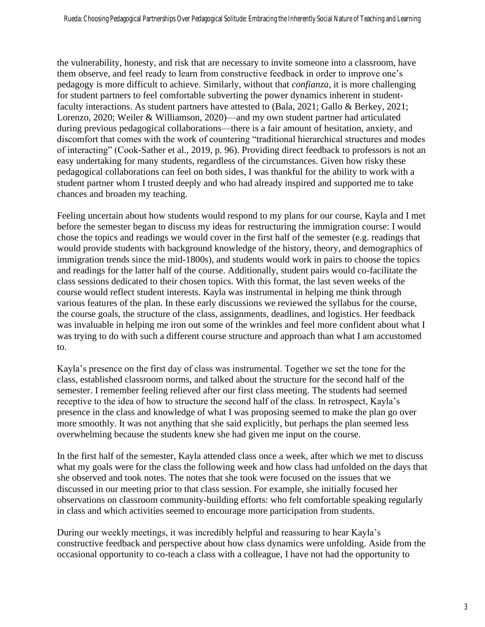the vulnerability, honesty, and risk that are necessary to invite someone into a classroom, have them observe, and feel ready to learn from constructive feedback in order to improve one's pedagogy is more difficult to achieve. Similarly, without that *confianza*, it is more challenging for student partners to feel comfortable subverting the power dynamics inherent in studentfaculty interactions. As student partners have attested to (Bala, 2021; Gallo & Berkey, 2021; Lorenzo, 2020; Weiler & Williamson, 2020)—and my own student partner had articulated during previous pedagogical collaborations—there is a fair amount of hesitation, anxiety, and discomfort that comes with the work of countering "traditional hierarchical structures and modes of interacting" (Cook-Sather et al., 2019, p. 96). Providing direct feedback to professors is not an easy undertaking for many students, regardless of the circumstances. Given how risky these pedagogical collaborations can feel on both sides, I was thankful for the ability to work with a student partner whom I trusted deeply and who had already inspired and supported me to take chances and broaden my teaching.

Feeling uncertain about how students would respond to my plans for our course, Kayla and I met before the semester began to discuss my ideas for restructuring the immigration course: I would chose the topics and readings we would cover in the first half of the semester (e.g. readings that would provide students with background knowledge of the history, theory, and demographics of immigration trends since the mid-1800s), and students would work in pairs to choose the topics and readings for the latter half of the course. Additionally, student pairs would co-facilitate the class sessions dedicated to their chosen topics. With this format, the last seven weeks of the course would reflect student interests. Kayla was instrumental in helping me think through various features of the plan. In these early discussions we reviewed the syllabus for the course, the course goals, the structure of the class, assignments, deadlines, and logistics. Her feedback was invaluable in helping me iron out some of the wrinkles and feel more confident about what I was trying to do with such a different course structure and approach than what I am accustomed to.

Kayla's presence on the first day of class was instrumental. Together we set the tone for the class, established classroom norms, and talked about the structure for the second half of the semester. I remember feeling relieved after our first class meeting. The students had seemed receptive to the idea of how to structure the second half of the class. In retrospect, Kayla's presence in the class and knowledge of what I was proposing seemed to make the plan go over more smoothly. It was not anything that she said explicitly, but perhaps the plan seemed less overwhelming because the students knew she had given me input on the course.

In the first half of the semester, Kayla attended class once a week, after which we met to discuss what my goals were for the class the following week and how class had unfolded on the days that she observed and took notes. The notes that she took were focused on the issues that we discussed in our meeting prior to that class session. For example, she initially focused her observations on classroom community-building efforts: who felt comfortable speaking regularly in class and which activities seemed to encourage more participation from students.

During our weekly meetings, it was incredibly helpful and reassuring to hear Kayla's constructive feedback and perspective about how class dynamics were unfolding. Aside from the occasional opportunity to co-teach a class with a colleague, I have not had the opportunity to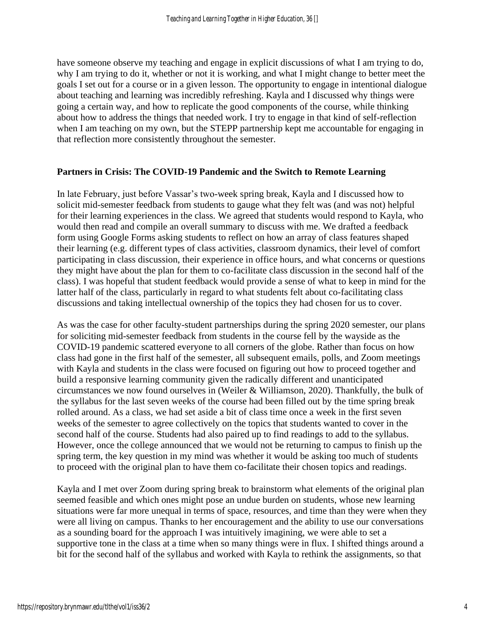have someone observe my teaching and engage in explicit discussions of what I am trying to do, why I am trying to do it, whether or not it is working, and what I might change to better meet the goals I set out for a course or in a given lesson. The opportunity to engage in intentional dialogue about teaching and learning was incredibly refreshing. Kayla and I discussed why things were going a certain way, and how to replicate the good components of the course, while thinking about how to address the things that needed work. I try to engage in that kind of self-reflection when I am teaching on my own, but the STEPP partnership kept me accountable for engaging in that reflection more consistently throughout the semester.

#### **Partners in Crisis: The COVID-19 Pandemic and the Switch to Remote Learning**

In late February, just before Vassar's two-week spring break, Kayla and I discussed how to solicit mid-semester feedback from students to gauge what they felt was (and was not) helpful for their learning experiences in the class. We agreed that students would respond to Kayla, who would then read and compile an overall summary to discuss with me. We drafted a feedback form using Google Forms asking students to reflect on how an array of class features shaped their learning (e.g. different types of class activities, classroom dynamics, their level of comfort participating in class discussion, their experience in office hours, and what concerns or questions they might have about the plan for them to co-facilitate class discussion in the second half of the class). I was hopeful that student feedback would provide a sense of what to keep in mind for the latter half of the class, particularly in regard to what students felt about co-facilitating class discussions and taking intellectual ownership of the topics they had chosen for us to cover.

As was the case for other faculty-student partnerships during the spring 2020 semester, our plans for soliciting mid-semester feedback from students in the course fell by the wayside as the COVID-19 pandemic scattered everyone to all corners of the globe. Rather than focus on how class had gone in the first half of the semester, all subsequent emails, polls, and Zoom meetings with Kayla and students in the class were focused on figuring out how to proceed together and build a responsive learning community given the radically different and unanticipated circumstances we now found ourselves in (Weiler & Williamson, 2020). Thankfully, the bulk of the syllabus for the last seven weeks of the course had been filled out by the time spring break rolled around. As a class, we had set aside a bit of class time once a week in the first seven weeks of the semester to agree collectively on the topics that students wanted to cover in the second half of the course. Students had also paired up to find readings to add to the syllabus. However, once the college announced that we would not be returning to campus to finish up the spring term, the key question in my mind was whether it would be asking too much of students to proceed with the original plan to have them co-facilitate their chosen topics and readings.

Kayla and I met over Zoom during spring break to brainstorm what elements of the original plan seemed feasible and which ones might pose an undue burden on students, whose new learning situations were far more unequal in terms of space, resources, and time than they were when they were all living on campus. Thanks to her encouragement and the ability to use our conversations as a sounding board for the approach I was intuitively imagining, we were able to set a supportive tone in the class at a time when so many things were in flux. I shifted things around a bit for the second half of the syllabus and worked with Kayla to rethink the assignments, so that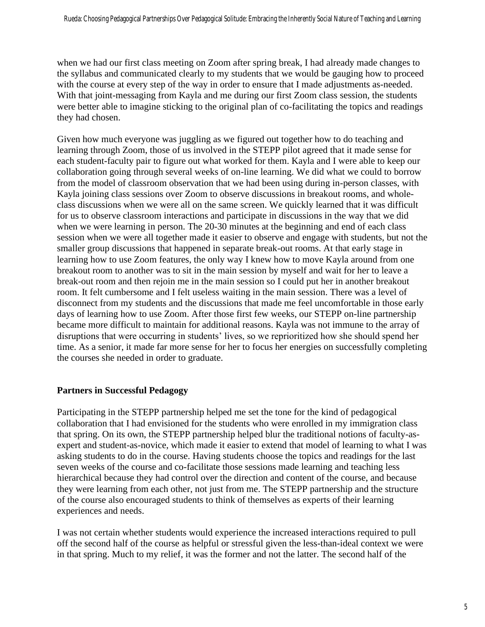when we had our first class meeting on Zoom after spring break, I had already made changes to the syllabus and communicated clearly to my students that we would be gauging how to proceed with the course at every step of the way in order to ensure that I made adjustments as-needed. With that joint-messaging from Kayla and me during our first Zoom class session, the students were better able to imagine sticking to the original plan of co-facilitating the topics and readings they had chosen.

Given how much everyone was juggling as we figured out together how to do teaching and learning through Zoom, those of us involved in the STEPP pilot agreed that it made sense for each student-faculty pair to figure out what worked for them. Kayla and I were able to keep our collaboration going through several weeks of on-line learning. We did what we could to borrow from the model of classroom observation that we had been using during in-person classes, with Kayla joining class sessions over Zoom to observe discussions in breakout rooms, and wholeclass discussions when we were all on the same screen. We quickly learned that it was difficult for us to observe classroom interactions and participate in discussions in the way that we did when we were learning in person. The 20-30 minutes at the beginning and end of each class session when we were all together made it easier to observe and engage with students, but not the smaller group discussions that happened in separate break-out rooms. At that early stage in learning how to use Zoom features, the only way I knew how to move Kayla around from one breakout room to another was to sit in the main session by myself and wait for her to leave a break-out room and then rejoin me in the main session so I could put her in another breakout room. It felt cumbersome and I felt useless waiting in the main session. There was a level of disconnect from my students and the discussions that made me feel uncomfortable in those early days of learning how to use Zoom. After those first few weeks, our STEPP on-line partnership became more difficult to maintain for additional reasons. Kayla was not immune to the array of disruptions that were occurring in students' lives, so we reprioritized how she should spend her time. As a senior, it made far more sense for her to focus her energies on successfully completing the courses she needed in order to graduate.

## **Partners in Successful Pedagogy**

Participating in the STEPP partnership helped me set the tone for the kind of pedagogical collaboration that I had envisioned for the students who were enrolled in my immigration class that spring. On its own, the STEPP partnership helped blur the traditional notions of faculty-asexpert and student-as-novice, which made it easier to extend that model of learning to what I was asking students to do in the course. Having students choose the topics and readings for the last seven weeks of the course and co-facilitate those sessions made learning and teaching less hierarchical because they had control over the direction and content of the course, and because they were learning from each other, not just from me. The STEPP partnership and the structure of the course also encouraged students to think of themselves as experts of their learning experiences and needs.

I was not certain whether students would experience the increased interactions required to pull off the second half of the course as helpful or stressful given the less-than-ideal context we were in that spring. Much to my relief, it was the former and not the latter. The second half of the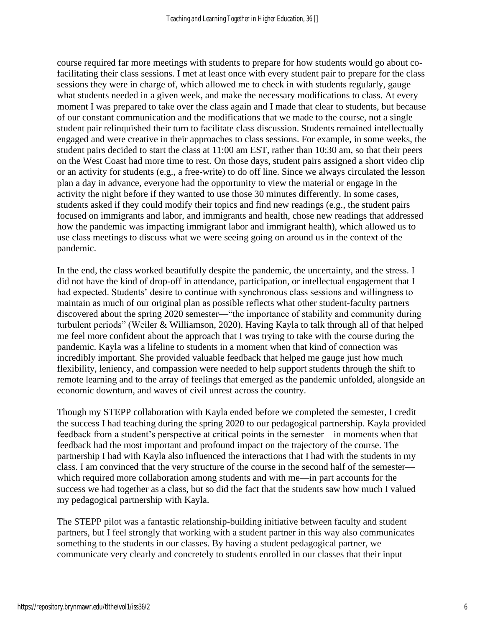course required far more meetings with students to prepare for how students would go about cofacilitating their class sessions. I met at least once with every student pair to prepare for the class sessions they were in charge of, which allowed me to check in with students regularly, gauge what students needed in a given week, and make the necessary modifications to class. At every moment I was prepared to take over the class again and I made that clear to students, but because of our constant communication and the modifications that we made to the course, not a single student pair relinquished their turn to facilitate class discussion. Students remained intellectually engaged and were creative in their approaches to class sessions. For example, in some weeks, the student pairs decided to start the class at 11:00 am EST, rather than 10:30 am, so that their peers on the West Coast had more time to rest. On those days, student pairs assigned a short video clip or an activity for students (e.g., a free-write) to do off line. Since we always circulated the lesson plan a day in advance, everyone had the opportunity to view the material or engage in the activity the night before if they wanted to use those 30 minutes differently. In some cases, students asked if they could modify their topics and find new readings (e.g., the student pairs focused on immigrants and labor, and immigrants and health, chose new readings that addressed how the pandemic was impacting immigrant labor and immigrant health), which allowed us to use class meetings to discuss what we were seeing going on around us in the context of the pandemic.

In the end, the class worked beautifully despite the pandemic, the uncertainty, and the stress. I did not have the kind of drop-off in attendance, participation, or intellectual engagement that I had expected. Students' desire to continue with synchronous class sessions and willingness to maintain as much of our original plan as possible reflects what other student-faculty partners discovered about the spring 2020 semester—"the importance of stability and community during turbulent periods" (Weiler & Williamson, 2020). Having Kayla to talk through all of that helped me feel more confident about the approach that I was trying to take with the course during the pandemic. Kayla was a lifeline to students in a moment when that kind of connection was incredibly important. She provided valuable feedback that helped me gauge just how much flexibility, leniency, and compassion were needed to help support students through the shift to remote learning and to the array of feelings that emerged as the pandemic unfolded, alongside an economic downturn, and waves of civil unrest across the country.

Though my STEPP collaboration with Kayla ended before we completed the semester, I credit the success I had teaching during the spring 2020 to our pedagogical partnership. Kayla provided feedback from a student's perspective at critical points in the semester—in moments when that feedback had the most important and profound impact on the trajectory of the course. The partnership I had with Kayla also influenced the interactions that I had with the students in my class. I am convinced that the very structure of the course in the second half of the semester which required more collaboration among students and with me—in part accounts for the success we had together as a class, but so did the fact that the students saw how much I valued my pedagogical partnership with Kayla.

The STEPP pilot was a fantastic relationship-building initiative between faculty and student partners, but I feel strongly that working with a student partner in this way also communicates something to the students in our classes. By having a student pedagogical partner, we communicate very clearly and concretely to students enrolled in our classes that their input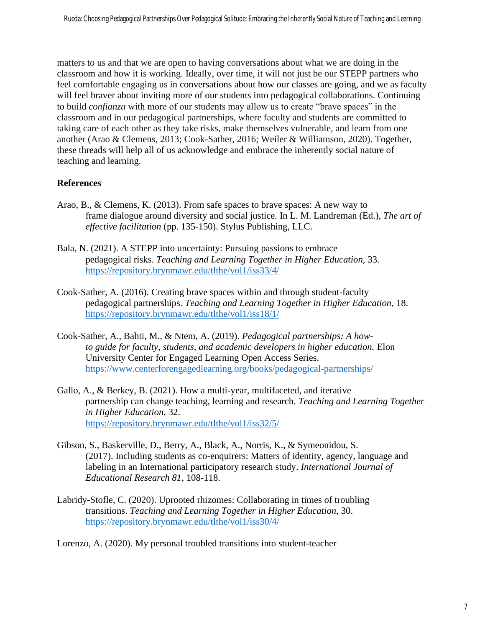matters to us and that we are open to having conversations about what we are doing in the classroom and how it is working. Ideally, over time, it will not just be our STEPP partners who feel comfortable engaging us in conversations about how our classes are going, and we as faculty will feel braver about inviting more of our students into pedagogical collaborations. Continuing to build *confianza* with more of our students may allow us to create "brave spaces" in the classroom and in our pedagogical partnerships, where faculty and students are committed to taking care of each other as they take risks, make themselves vulnerable, and learn from one another (Arao & Clemens, 2013; Cook-Sather, 2016; Weiler & Williamson, 2020). Together, these threads will help all of us acknowledge and embrace the inherently social nature of teaching and learning.

# **References**

- Arao, B., & Clemens, K. (2013). From safe spaces to brave spaces: A new way to frame dialogue around diversity and social justice. In L. M. Landreman (Ed.), *The art of effective facilitation* (pp. 135-150). Stylus Publishing, LLC.
- Bala, N. (2021). A STEPP into uncertainty: Pursuing passions to embrace pedagogical risks. *Teaching and Learning Together in Higher Education,* 33. <https://repository.brynmawr.edu/tlthe/vol1/iss33/4/>
- Cook-Sather, A. (2016). Creating brave spaces within and through student-faculty pedagogical partnerships. *Teaching and Learning Together in Higher Education,* 18. <https://repository.brynmawr.edu/tlthe/vol1/iss18/1/>
- Cook-Sather, A., Bahti, M., & Ntem, A. (2019). *Pedagogical partnerships: A howto guide for faculty, students, and academic developers in higher education.* Elon University Center for Engaged Learning Open Access Series. <https://www.centerforengagedlearning.org/books/pedagogical-partnerships/>
- Gallo, A., & Berkey, B. (2021). How a multi-year, multifaceted, and iterative partnership can change teaching, learning and research. *Teaching and Learning Together in Higher Education,* 32. <https://repository.brynmawr.edu/tlthe/vol1/iss32/5/>
- Gibson, S., Baskerville, D., Berry, A., Black, A., Norris, K., & Symeonidou, S. (2017). Including students as co-enquirers: Matters of identity, agency, language and labeling in an International participatory research study. *International Journal of Educational Research 81,* 108-118.
- Labridy-Stofle, C. (2020). Uprooted rhizomes: Collaborating in times of troubling transitions. *Teaching and Learning Together in Higher Education*, 30. <https://repository.brynmawr.edu/tlthe/vol1/iss30/4/>

Lorenzo, A. (2020). My personal troubled transitions into student-teacher